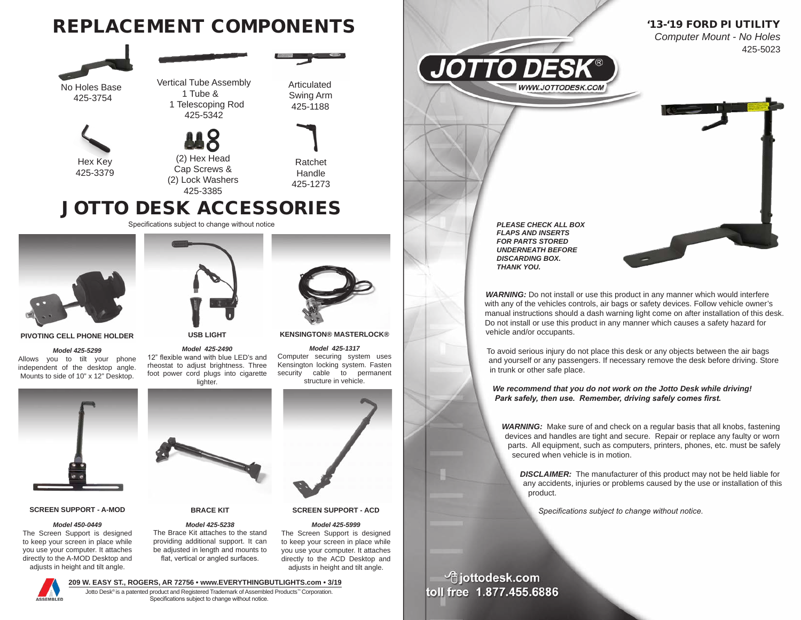





### **PIVOTING CELL PHONE HOLDER**

#### *Model 425-5299*

Allows you to tilt your phone independent of the desktop angle. Mounts to side of 10" x 12" Desktop.



## **SCREEN SUPPORT - A-MOD**

### *Model 450-0449*

The Screen Support is designed to keep your screen in place while you use your computer. It attaches directly to the A-MOD Desktop and adjusts in height and tilt angle.



**USB LIGHT**

*Model 425-2490*  12" flexible wand with blue LED's and rheostat to adjust brightness. Three foot power cord plugs into cigarette lighter.



#### **KENSINGTON® MASTERLOCK®**

*Model 425-1317*  Computer securing system uses Kensington locking system. Fasten security cable to permanent structure in vehicle.



**SCREEN SUPPORT - ACD**

### *Model 425-5999*

The Screen Support is designed to keep your screen in place while you use your computer. It attaches directly to the ACD Desktop and adjusts in height and tilt angle.



**BRACE KIT** *Model 425-5238*  The Brace Kit attaches to the stand providing additional support. It can be adjusted in length and mounts to flat, vertical or angled surfaces.

Jotto Desk® is a patented product and Registered Trademark of Assembled Products™ Corporation. Specifications subject to change without notice.



*WARNING:* Do not install or use this product in any manner which would interfere with any of the vehicles controls, air bags or safety devices. Follow vehicle owner's manual instructions should a dash warning light come on after installation of this desk. Do not install or use this product in any manner which causes a safety hazard for vehicle and/or occupants.

To avoid serious injury do not place this desk or any objects between the air bags and yourself or any passengers. If necessary remove the desk before driving. Store in trunk or other safe place.

*We recommend that you do not work on the Jotto Desk while driving! Park safely, then use. Remember, driving safely comes first.*

*WARNING:* Make sure of and check on a regular basis that all knobs, fastening devices and handles are tight and secure. Repair or replace any faulty or worn parts. All equipment, such as computers, printers, phones, etc. must be safely secured when vehicle is in motion.

*DISCLAIMER:* The manufacturer of this product may not be held liable for any accidents, injuries or problems caused by the use or installation of this product.

*Specifications subject to change without notice.*

<sup>t</sup>jottodesk.com toll free 1.877.455.6886